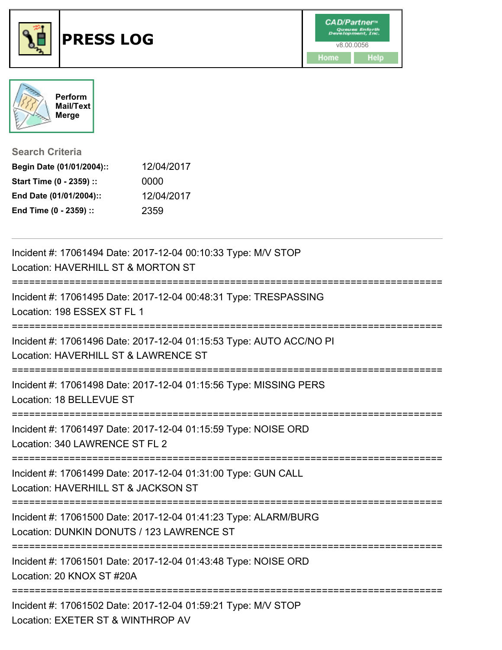



**Search Criteria**

| Begin Date (01/01/2004):: | 12/04/2017 |
|---------------------------|------------|
| Start Time (0 - 2359) ::  | 0000       |
| End Date (01/01/2004)::   | 12/04/2017 |
| End Time (0 - 2359) ::    | 2359       |

| Incident #: 17061494 Date: 2017-12-04 00:10:33 Type: M/V STOP<br>Location: HAVERHILL ST & MORTON ST                                                    |
|--------------------------------------------------------------------------------------------------------------------------------------------------------|
| Incident #: 17061495 Date: 2017-12-04 00:48:31 Type: TRESPASSING<br>Location: 198 ESSEX ST FL 1<br>;===================================                |
| Incident #: 17061496 Date: 2017-12-04 01:15:53 Type: AUTO ACC/NO PI<br>Location: HAVERHILL ST & LAWRENCE ST                                            |
| Incident #: 17061498 Date: 2017-12-04 01:15:56 Type: MISSING PERS<br>Location: 18 BELLEVUE ST                                                          |
| Incident #: 17061497 Date: 2017-12-04 01:15:59 Type: NOISE ORD<br>Location: 340 LAWRENCE ST FL 2<br>;===============================                   |
| Incident #: 17061499 Date: 2017-12-04 01:31:00 Type: GUN CALL<br>Location: HAVERHILL ST & JACKSON ST                                                   |
| Incident #: 17061500 Date: 2017-12-04 01:41:23 Type: ALARM/BURG<br>Location: DUNKIN DONUTS / 123 LAWRENCE ST                                           |
| ______________________________<br>---------------------<br>Incident #: 17061501 Date: 2017-12-04 01:43:48 Type: NOISE ORD<br>Location: 20 KNOX ST #20A |
| Incident #: 17061502 Date: 2017-12-04 01:59:21 Type: M/V STOP<br>Location: EXETER ST & WINTHROP AV                                                     |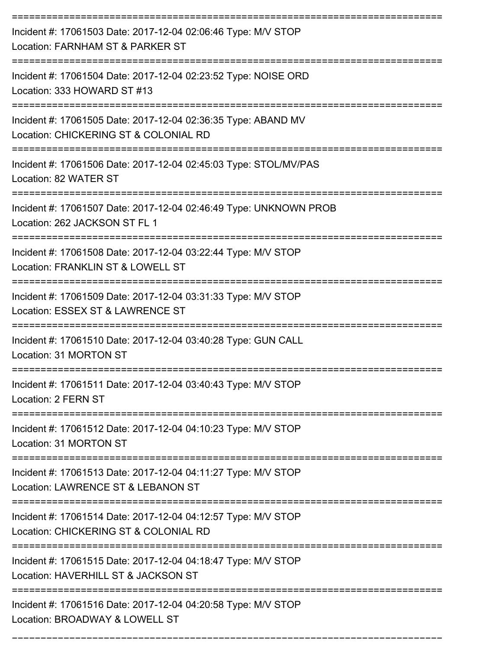| Incident #: 17061503 Date: 2017-12-04 02:06:46 Type: M/V STOP<br>Location: FARNHAM ST & PARKER ST      |
|--------------------------------------------------------------------------------------------------------|
| Incident #: 17061504 Date: 2017-12-04 02:23:52 Type: NOISE ORD<br>Location: 333 HOWARD ST #13          |
| Incident #: 17061505 Date: 2017-12-04 02:36:35 Type: ABAND MV<br>Location: CHICKERING ST & COLONIAL RD |
| Incident #: 17061506 Date: 2017-12-04 02:45:03 Type: STOL/MV/PAS<br>Location: 82 WATER ST              |
| Incident #: 17061507 Date: 2017-12-04 02:46:49 Type: UNKNOWN PROB<br>Location: 262 JACKSON ST FL 1     |
| Incident #: 17061508 Date: 2017-12-04 03:22:44 Type: M/V STOP<br>Location: FRANKLIN ST & LOWELL ST     |
| Incident #: 17061509 Date: 2017-12-04 03:31:33 Type: M/V STOP<br>Location: ESSEX ST & LAWRENCE ST      |
| Incident #: 17061510 Date: 2017-12-04 03:40:28 Type: GUN CALL<br>Location: 31 MORTON ST                |
| Incident #: 17061511 Date: 2017-12-04 03:40:43 Type: M/V STOP<br>Location: 2 FERN ST                   |
| Incident #: 17061512 Date: 2017-12-04 04:10:23 Type: M/V STOP<br>Location: 31 MORTON ST                |
| Incident #: 17061513 Date: 2017-12-04 04:11:27 Type: M/V STOP<br>Location: LAWRENCE ST & LEBANON ST    |
| Incident #: 17061514 Date: 2017-12-04 04:12:57 Type: M/V STOP<br>Location: CHICKERING ST & COLONIAL RD |
| Incident #: 17061515 Date: 2017-12-04 04:18:47 Type: M/V STOP<br>Location: HAVERHILL ST & JACKSON ST   |
| Incident #: 17061516 Date: 2017-12-04 04:20:58 Type: M/V STOP<br>Location: BROADWAY & LOWELL ST        |

===========================================================================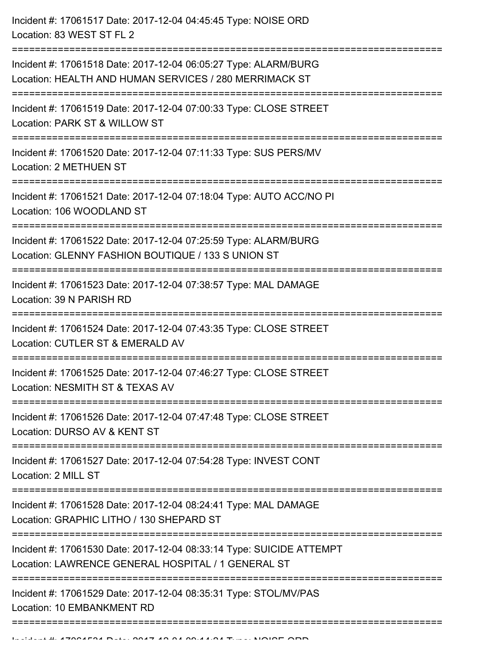| Incident #: 17061517 Date: 2017-12-04 04:45:45 Type: NOISE ORD<br>Location: 83 WEST ST FL 2                                                       |
|---------------------------------------------------------------------------------------------------------------------------------------------------|
| Incident #: 17061518 Date: 2017-12-04 06:05:27 Type: ALARM/BURG<br>Location: HEALTH AND HUMAN SERVICES / 280 MERRIMACK ST<br>-------------------- |
| Incident #: 17061519 Date: 2017-12-04 07:00:33 Type: CLOSE STREET<br>Location: PARK ST & WILLOW ST                                                |
| Incident #: 17061520 Date: 2017-12-04 07:11:33 Type: SUS PERS/MV<br>Location: 2 METHUEN ST                                                        |
| Incident #: 17061521 Date: 2017-12-04 07:18:04 Type: AUTO ACC/NO PI<br>Location: 106 WOODLAND ST                                                  |
| Incident #: 17061522 Date: 2017-12-04 07:25:59 Type: ALARM/BURG<br>Location: GLENNY FASHION BOUTIQUE / 133 S UNION ST<br>------------------       |
| Incident #: 17061523 Date: 2017-12-04 07:38:57 Type: MAL DAMAGE<br>Location: 39 N PARISH RD                                                       |
| Incident #: 17061524 Date: 2017-12-04 07:43:35 Type: CLOSE STREET<br>Location: CUTLER ST & EMERALD AV                                             |
| Incident #: 17061525 Date: 2017-12-04 07:46:27 Type: CLOSE STREET<br>Location: NESMITH ST & TEXAS AV                                              |
| Incident #: 17061526 Date: 2017-12-04 07:47:48 Type: CLOSE STREET<br>Location: DURSO AV & KENT ST                                                 |
| Incident #: 17061527 Date: 2017-12-04 07:54:28 Type: INVEST CONT<br>Location: 2 MILL ST                                                           |
| Incident #: 17061528 Date: 2017-12-04 08:24:41 Type: MAL DAMAGE<br>Location: GRAPHIC LITHO / 130 SHEPARD ST                                       |
| Incident #: 17061530 Date: 2017-12-04 08:33:14 Type: SUICIDE ATTEMPT<br>Location: LAWRENCE GENERAL HOSPITAL / 1 GENERAL ST                        |
| Incident #: 17061529 Date: 2017-12-04 08:35:31 Type: STOL/MV/PAS<br>Location: 10 EMBANKMENT RD                                                    |
|                                                                                                                                                   |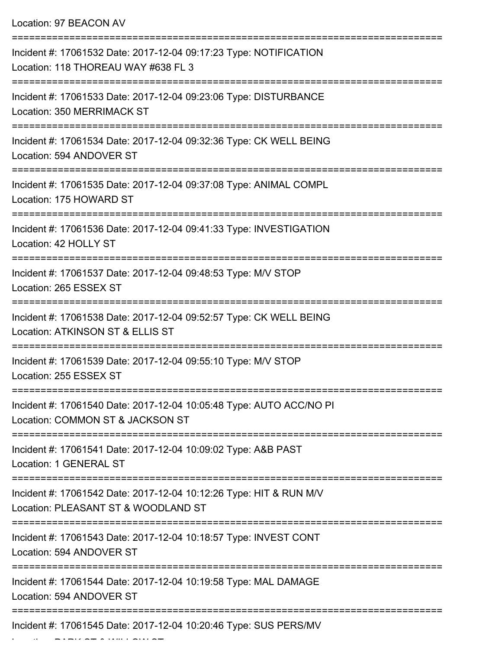Location: 97 BEACON AV =========================================================================== Incident #: 17061532 Date: 2017-12-04 09:17:23 Type: NOTIFICATION Location: 118 THOREAU WAY #638 FL 3 =========================================================================== Incident #: 17061533 Date: 2017-12-04 09:23:06 Type: DISTURBANCE Location: 350 MERRIMACK ST =========================================================================== Incident #: 17061534 Date: 2017-12-04 09:32:36 Type: CK WELL BEING Location: 594 ANDOVER ST =========================================================================== Incident #: 17061535 Date: 2017-12-04 09:37:08 Type: ANIMAL COMPL Location: 175 HOWARD ST =========================================================================== Incident #: 17061536 Date: 2017-12-04 09:41:33 Type: INVESTIGATION Location: 42 HOLLY ST ============================== Incident #: 17061537 Date: 2017-12-04 09:48:53 Type: M/V STOP Location: 265 ESSEX ST =========================================================================== Incident #: 17061538 Date: 2017-12-04 09:52:57 Type: CK WELL BEING Location: ATKINSON ST & ELLIS ST =========================================================================== Incident #: 17061539 Date: 2017-12-04 09:55:10 Type: M/V STOP Location: 255 ESSEX ST =========================================================================== Incident #: 17061540 Date: 2017-12-04 10:05:48 Type: AUTO ACC/NO PI Location: COMMON ST & JACKSON ST =========================================================================== Incident #: 17061541 Date: 2017-12-04 10:09:02 Type: A&B PAST Location: 1 GENERAL ST =========================================================================== Incident #: 17061542 Date: 2017-12-04 10:12:26 Type: HIT & RUN M/V Location: PLEASANT ST & WOODLAND ST =========================================================================== Incident #: 17061543 Date: 2017-12-04 10:18:57 Type: INVEST CONT Location: 594 ANDOVER ST =========================================================================== Incident #: 17061544 Date: 2017-12-04 10:19:58 Type: MAL DAMAGE Location: 594 ANDOVER ST =========================================================================== Incident #: 17061545 Date: 2017-12-04 10:20:46 Type: SUS PERS/MV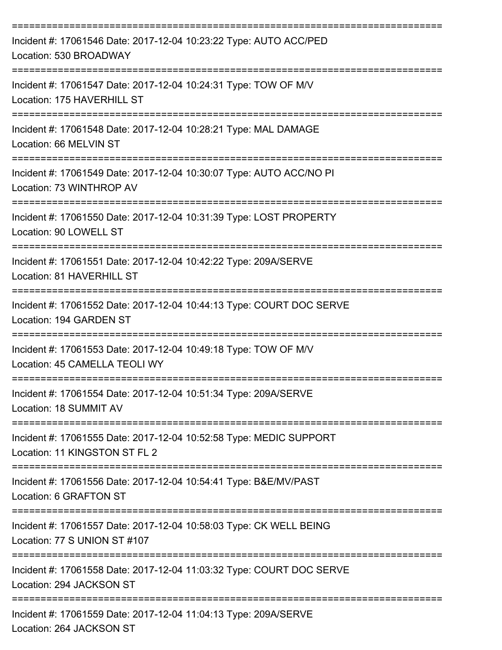| Incident #: 17061546 Date: 2017-12-04 10:23:22 Type: AUTO ACC/PED<br>Location: 530 BROADWAY                                   |
|-------------------------------------------------------------------------------------------------------------------------------|
| Incident #: 17061547 Date: 2017-12-04 10:24:31 Type: TOW OF M/V<br>Location: 175 HAVERHILL ST                                 |
| Incident #: 17061548 Date: 2017-12-04 10:28:21 Type: MAL DAMAGE<br>Location: 66 MELVIN ST                                     |
| Incident #: 17061549 Date: 2017-12-04 10:30:07 Type: AUTO ACC/NO PI<br>Location: 73 WINTHROP AV                               |
| Incident #: 17061550 Date: 2017-12-04 10:31:39 Type: LOST PROPERTY<br>Location: 90 LOWELL ST                                  |
| Incident #: 17061551 Date: 2017-12-04 10:42:22 Type: 209A/SERVE<br>Location: 81 HAVERHILL ST                                  |
| Incident #: 17061552 Date: 2017-12-04 10:44:13 Type: COURT DOC SERVE<br>Location: 194 GARDEN ST                               |
| Incident #: 17061553 Date: 2017-12-04 10:49:18 Type: TOW OF M/V<br>Location: 45 CAMELLA TEOLI WY                              |
| Incident #: 17061554 Date: 2017-12-04 10:51:34 Type: 209A/SERVE<br>Location: 18 SUMMIT AV                                     |
| ----------------------<br>Incident #: 17061555 Date: 2017-12-04 10:52:58 Type: MEDIC SUPPORT<br>Location: 11 KINGSTON ST FL 2 |
| Incident #: 17061556 Date: 2017-12-04 10:54:41 Type: B&E/MV/PAST<br>Location: 6 GRAFTON ST                                    |
| Incident #: 17061557 Date: 2017-12-04 10:58:03 Type: CK WELL BEING<br>Location: 77 S UNION ST #107                            |
| Incident #: 17061558 Date: 2017-12-04 11:03:32 Type: COURT DOC SERVE<br>Location: 294 JACKSON ST                              |
| Incident #: 17061559 Date: 2017-12-04 11:04:13 Type: 209A/SERVE<br>Location: 264 JACKSON ST                                   |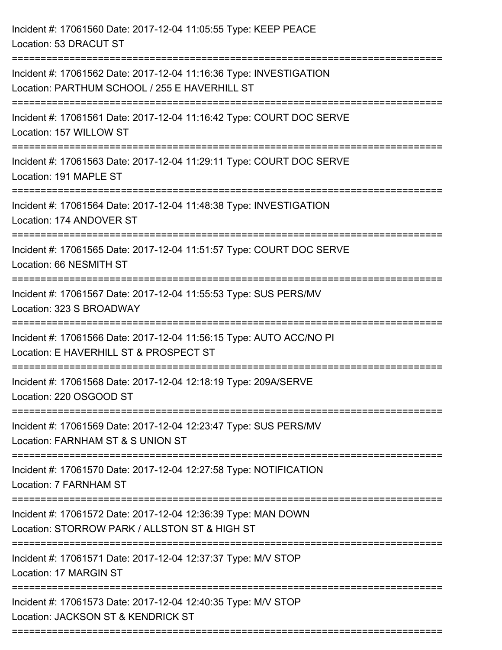| Incident #: 17061560 Date: 2017-12-04 11:05:55 Type: KEEP PEACE<br>Location: 53 DRACUT ST                                                        |
|--------------------------------------------------------------------------------------------------------------------------------------------------|
| Incident #: 17061562 Date: 2017-12-04 11:16:36 Type: INVESTIGATION<br>Location: PARTHUM SCHOOL / 255 E HAVERHILL ST<br>========================= |
| Incident #: 17061561 Date: 2017-12-04 11:16:42 Type: COURT DOC SERVE<br>Location: 157 WILLOW ST                                                  |
| Incident #: 17061563 Date: 2017-12-04 11:29:11 Type: COURT DOC SERVE<br>Location: 191 MAPLE ST                                                   |
| Incident #: 17061564 Date: 2017-12-04 11:48:38 Type: INVESTIGATION<br>Location: 174 ANDOVER ST<br>-----------------------------------            |
| Incident #: 17061565 Date: 2017-12-04 11:51:57 Type: COURT DOC SERVE<br>Location: 66 NESMITH ST                                                  |
| Incident #: 17061567 Date: 2017-12-04 11:55:53 Type: SUS PERS/MV<br>Location: 323 S BROADWAY                                                     |
| Incident #: 17061566 Date: 2017-12-04 11:56:15 Type: AUTO ACC/NO PI<br>Location: E HAVERHILL ST & PROSPECT ST                                    |
| Incident #: 17061568 Date: 2017-12-04 12:18:19 Type: 209A/SERVE<br>Location: 220 OSGOOD ST                                                       |
| Incident #: 17061569 Date: 2017-12-04 12:23:47 Type: SUS PERS/MV<br>Location: FARNHAM ST & S UNION ST                                            |
| Incident #: 17061570 Date: 2017-12-04 12:27:58 Type: NOTIFICATION<br>Location: 7 FARNHAM ST                                                      |
| Incident #: 17061572 Date: 2017-12-04 12:36:39 Type: MAN DOWN<br>Location: STORROW PARK / ALLSTON ST & HIGH ST                                   |
| ==============================<br>Incident #: 17061571 Date: 2017-12-04 12:37:37 Type: M/V STOP<br>Location: 17 MARGIN ST                        |
| Incident #: 17061573 Date: 2017-12-04 12:40:35 Type: M/V STOP<br>Location: JACKSON ST & KENDRICK ST                                              |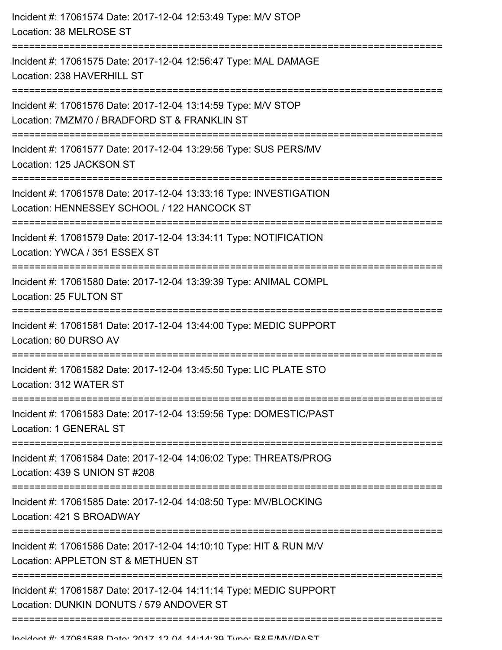| Incident #: 17061574 Date: 2017-12-04 12:53:49 Type: M/V STOP<br>Location: 38 MELROSE ST                                             |
|--------------------------------------------------------------------------------------------------------------------------------------|
| Incident #: 17061575 Date: 2017-12-04 12:56:47 Type: MAL DAMAGE<br>Location: 238 HAVERHILL ST<br>----------------------------------- |
| Incident #: 17061576 Date: 2017-12-04 13:14:59 Type: M/V STOP<br>Location: 7MZM70 / BRADFORD ST & FRANKLIN ST                        |
| Incident #: 17061577 Date: 2017-12-04 13:29:56 Type: SUS PERS/MV<br>Location: 125 JACKSON ST                                         |
| Incident #: 17061578 Date: 2017-12-04 13:33:16 Type: INVESTIGATION<br>Location: HENNESSEY SCHOOL / 122 HANCOCK ST                    |
| Incident #: 17061579 Date: 2017-12-04 13:34:11 Type: NOTIFICATION<br>Location: YWCA / 351 ESSEX ST                                   |
| Incident #: 17061580 Date: 2017-12-04 13:39:39 Type: ANIMAL COMPL<br>Location: 25 FULTON ST<br>=======================               |
| Incident #: 17061581 Date: 2017-12-04 13:44:00 Type: MEDIC SUPPORT<br>Location: 60 DURSO AV<br>-------------------                   |
| Incident #: 17061582 Date: 2017-12-04 13:45:50 Type: LIC PLATE STO<br>Location: 312 WATER ST                                         |
| Incident #: 17061583 Date: 2017-12-04 13:59:56 Type: DOMESTIC/PAST<br>Location: 1 GENERAL ST                                         |
| Incident #: 17061584 Date: 2017-12-04 14:06:02 Type: THREATS/PROG<br>Location: 439 S UNION ST #208                                   |
| Incident #: 17061585 Date: 2017-12-04 14:08:50 Type: MV/BLOCKING<br>Location: 421 S BROADWAY                                         |
| Incident #: 17061586 Date: 2017-12-04 14:10:10 Type: HIT & RUN M/V<br>Location: APPLETON ST & METHUEN ST                             |
| Incident #: 17061587 Date: 2017-12-04 14:11:14 Type: MEDIC SUPPORT<br>Location: DUNKIN DONUTS / 579 ANDOVER ST                       |
|                                                                                                                                      |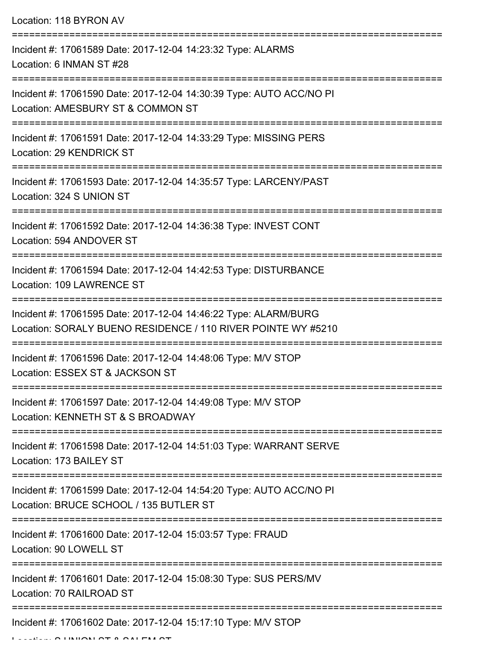| Location: 118 BYRON AV                                                                                                              |
|-------------------------------------------------------------------------------------------------------------------------------------|
| Incident #: 17061589 Date: 2017-12-04 14:23:32 Type: ALARMS<br>Location: 6 INMAN ST #28                                             |
| Incident #: 17061590 Date: 2017-12-04 14:30:39 Type: AUTO ACC/NO PI<br>Location: AMESBURY ST & COMMON ST<br>;====================== |
| Incident #: 17061591 Date: 2017-12-04 14:33:29 Type: MISSING PERS<br>Location: 29 KENDRICK ST                                       |
| Incident #: 17061593 Date: 2017-12-04 14:35:57 Type: LARCENY/PAST<br>Location: 324 S UNION ST                                       |
| Incident #: 17061592 Date: 2017-12-04 14:36:38 Type: INVEST CONT<br>Location: 594 ANDOVER ST                                        |
| Incident #: 17061594 Date: 2017-12-04 14:42:53 Type: DISTURBANCE<br>Location: 109 LAWRENCE ST                                       |
| Incident #: 17061595 Date: 2017-12-04 14:46:22 Type: ALARM/BURG<br>Location: SORALY BUENO RESIDENCE / 110 RIVER POINTE WY #5210     |
| Incident #: 17061596 Date: 2017-12-04 14:48:06 Type: M/V STOP<br>Location: ESSEX ST & JACKSON ST                                    |
| Incident #: 17061597 Date: 2017-12-04 14:49:08 Type: M/V STOP<br>Location: KENNETH ST & S BROADWAY                                  |
| Incident #: 17061598 Date: 2017-12-04 14:51:03 Type: WARRANT SERVE<br>Location: 173 BAILEY ST                                       |
| Incident #: 17061599 Date: 2017-12-04 14:54:20 Type: AUTO ACC/NO PI<br>Location: BRUCE SCHOOL / 135 BUTLER ST                       |
| Incident #: 17061600 Date: 2017-12-04 15:03:57 Type: FRAUD<br>Location: 90 LOWELL ST                                                |
| Incident #: 17061601 Date: 2017-12-04 15:08:30 Type: SUS PERS/MV<br>Location: 70 RAILROAD ST                                        |
| Incident #: 17061602 Date: 2017-12-04 15:17:10 Type: M/V STOP                                                                       |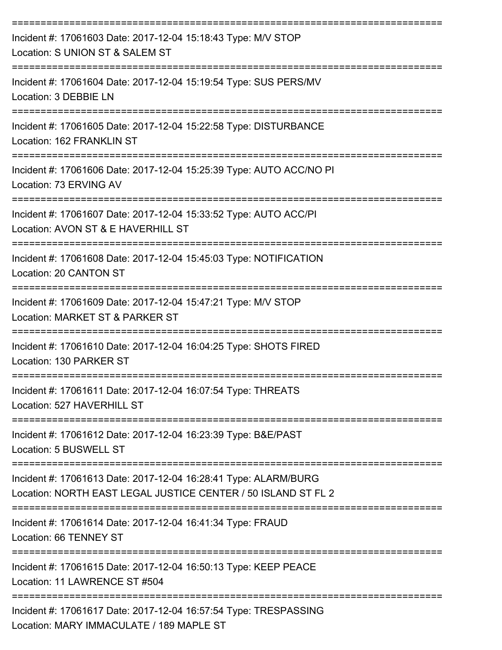| Incident #: 17061603 Date: 2017-12-04 15:18:43 Type: M/V STOP<br>Location: S UNION ST & SALEM ST                                 |
|----------------------------------------------------------------------------------------------------------------------------------|
| Incident #: 17061604 Date: 2017-12-04 15:19:54 Type: SUS PERS/MV<br>Location: 3 DEBBIE LN                                        |
| Incident #: 17061605 Date: 2017-12-04 15:22:58 Type: DISTURBANCE<br>Location: 162 FRANKLIN ST                                    |
| Incident #: 17061606 Date: 2017-12-04 15:25:39 Type: AUTO ACC/NO PI<br>Location: 73 ERVING AV                                    |
| Incident #: 17061607 Date: 2017-12-04 15:33:52 Type: AUTO ACC/PI<br>Location: AVON ST & E HAVERHILL ST                           |
| Incident #: 17061608 Date: 2017-12-04 15:45:03 Type: NOTIFICATION<br>Location: 20 CANTON ST                                      |
| Incident #: 17061609 Date: 2017-12-04 15:47:21 Type: M/V STOP<br>Location: MARKET ST & PARKER ST                                 |
| Incident #: 17061610 Date: 2017-12-04 16:04:25 Type: SHOTS FIRED<br>Location: 130 PARKER ST                                      |
| Incident #: 17061611 Date: 2017-12-04 16:07:54 Type: THREATS<br>Location: 527 HAVERHILL ST                                       |
| Incident #: 17061612 Date: 2017-12-04 16:23:39 Type: B&E/PAST<br>Location: 5 BUSWELL ST                                          |
| Incident #: 17061613 Date: 2017-12-04 16:28:41 Type: ALARM/BURG<br>Location: NORTH EAST LEGAL JUSTICE CENTER / 50 ISLAND ST FL 2 |
| Incident #: 17061614 Date: 2017-12-04 16:41:34 Type: FRAUD<br>Location: 66 TENNEY ST                                             |
| Incident #: 17061615 Date: 2017-12-04 16:50:13 Type: KEEP PEACE<br>Location: 11 LAWRENCE ST #504                                 |
| Incident #: 17061617 Date: 2017-12-04 16:57:54 Type: TRESPASSING<br>Location: MARY IMMACULATE / 189 MAPLE ST                     |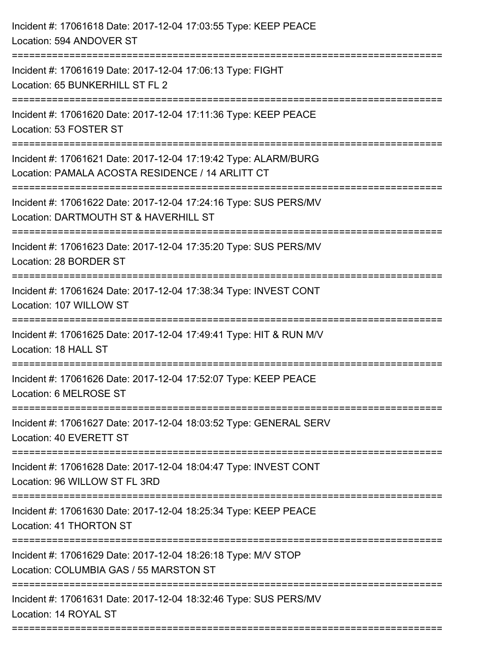| Incident #: 17061618 Date: 2017-12-04 17:03:55 Type: KEEP PEACE<br>Location: 594 ANDOVER ST                         |
|---------------------------------------------------------------------------------------------------------------------|
| Incident #: 17061619 Date: 2017-12-04 17:06:13 Type: FIGHT<br>Location: 65 BUNKERHILL ST FL 2                       |
| Incident #: 17061620 Date: 2017-12-04 17:11:36 Type: KEEP PEACE<br>Location: 53 FOSTER ST                           |
| Incident #: 17061621 Date: 2017-12-04 17:19:42 Type: ALARM/BURG<br>Location: PAMALA ACOSTA RESIDENCE / 14 ARLITT CT |
| Incident #: 17061622 Date: 2017-12-04 17:24:16 Type: SUS PERS/MV<br>Location: DARTMOUTH ST & HAVERHILL ST           |
| Incident #: 17061623 Date: 2017-12-04 17:35:20 Type: SUS PERS/MV<br>Location: 28 BORDER ST                          |
| Incident #: 17061624 Date: 2017-12-04 17:38:34 Type: INVEST CONT<br>Location: 107 WILLOW ST                         |
| Incident #: 17061625 Date: 2017-12-04 17:49:41 Type: HIT & RUN M/V<br>Location: 18 HALL ST                          |
| Incident #: 17061626 Date: 2017-12-04 17:52:07 Type: KEEP PEACE<br>Location: 6 MELROSE ST                           |
| Incident #: 17061627 Date: 2017-12-04 18:03:52 Type: GENERAL SERV<br>Location: 40 EVERETT ST                        |
| Incident #: 17061628 Date: 2017-12-04 18:04:47 Type: INVEST CONT<br>Location: 96 WILLOW ST FL 3RD                   |
| Incident #: 17061630 Date: 2017-12-04 18:25:34 Type: KEEP PEACE<br>Location: 41 THORTON ST                          |
| Incident #: 17061629 Date: 2017-12-04 18:26:18 Type: M/V STOP<br>Location: COLUMBIA GAS / 55 MARSTON ST             |
| Incident #: 17061631 Date: 2017-12-04 18:32:46 Type: SUS PERS/MV<br>Location: 14 ROYAL ST                           |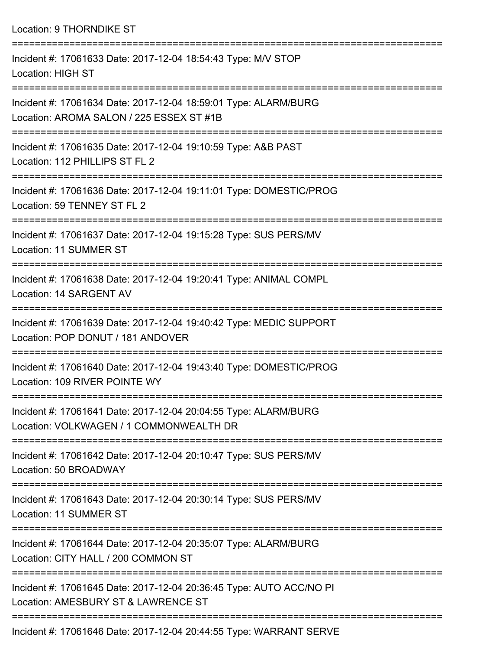Location: 9 THORNDIKE ST

=========================================================================== Incident #: 17061633 Date: 2017-12-04 18:54:43 Type: M/V STOP Location: HIGH ST =========================================================================== Incident #: 17061634 Date: 2017-12-04 18:59:01 Type: ALARM/BURG Location: AROMA SALON / 225 ESSEX ST #1B =========================================================================== Incident #: 17061635 Date: 2017-12-04 19:10:59 Type: A&B PAST Location: 112 PHILLIPS ST FL 2 =========================================================================== Incident #: 17061636 Date: 2017-12-04 19:11:01 Type: DOMESTIC/PROG Location: 59 TENNEY ST FL 2 =========================================================================== Incident #: 17061637 Date: 2017-12-04 19:15:28 Type: SUS PERS/MV Location: 11 SUMMER ST =========================================================================== Incident #: 17061638 Date: 2017-12-04 19:20:41 Type: ANIMAL COMPL Location: 14 SARGENT AV =========================================================================== Incident #: 17061639 Date: 2017-12-04 19:40:42 Type: MEDIC SUPPORT Location: POP DONUT / 181 ANDOVER =========================================================================== Incident #: 17061640 Date: 2017-12-04 19:43:40 Type: DOMESTIC/PROG Location: 109 RIVER POINTE WY =========================================================================== Incident #: 17061641 Date: 2017-12-04 20:04:55 Type: ALARM/BURG Location: VOLKWAGEN / 1 COMMONWEALTH DR =========================================================================== Incident #: 17061642 Date: 2017-12-04 20:10:47 Type: SUS PERS/MV Location: 50 BROADWAY =========================================================================== Incident #: 17061643 Date: 2017-12-04 20:30:14 Type: SUS PERS/MV Location: 11 SUMMER ST =========================================================================== Incident #: 17061644 Date: 2017-12-04 20:35:07 Type: ALARM/BURG Location: CITY HALL / 200 COMMON ST =========================================================================== Incident #: 17061645 Date: 2017-12-04 20:36:45 Type: AUTO ACC/NO PI Location: AMESBURY ST & LAWRENCE ST =========================================================================== Incident #: 17061646 Date: 2017-12-04 20:44:55 Type: WARRANT SERVE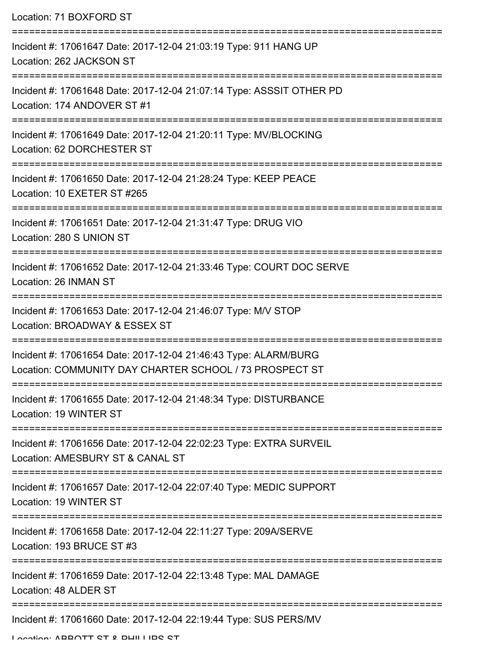| Location: 71 BOXFORD ST                                                                                                                       |
|-----------------------------------------------------------------------------------------------------------------------------------------------|
| Incident #: 17061647 Date: 2017-12-04 21:03:19 Type: 911 HANG UP<br>Location: 262 JACKSON ST                                                  |
| Incident #: 17061648 Date: 2017-12-04 21:07:14 Type: ASSSIT OTHER PD<br>Location: 174 ANDOVER ST #1                                           |
| Incident #: 17061649 Date: 2017-12-04 21:20:11 Type: MV/BLOCKING<br>Location: 62 DORCHESTER ST                                                |
| Incident #: 17061650 Date: 2017-12-04 21:28:24 Type: KEEP PEACE<br>Location: 10 EXETER ST #265                                                |
| Incident #: 17061651 Date: 2017-12-04 21:31:47 Type: DRUG VIO<br>Location: 280 S UNION ST                                                     |
| Incident #: 17061652 Date: 2017-12-04 21:33:46 Type: COURT DOC SERVE<br>Location: 26 INMAN ST                                                 |
| Incident #: 17061653 Date: 2017-12-04 21:46:07 Type: M/V STOP<br>Location: BROADWAY & ESSEX ST                                                |
| Incident #: 17061654 Date: 2017-12-04 21:46:43 Type: ALARM/BURG<br>Location: COMMUNITY DAY CHARTER SCHOOL / 73 PROSPECT ST                    |
| ============================<br>===============<br>Incident #: 17061655 Date: 2017-12-04 21:48:34 Type: DISTURBANCE<br>Location: 19 WINTER ST |
| Incident #: 17061656 Date: 2017-12-04 22:02:23 Type: EXTRA SURVEIL<br>Location: AMESBURY ST & CANAL ST                                        |
| Incident #: 17061657 Date: 2017-12-04 22:07:40 Type: MEDIC SUPPORT<br>Location: 19 WINTER ST                                                  |
| Incident #: 17061658 Date: 2017-12-04 22:11:27 Type: 209A/SERVE<br>Location: 193 BRUCE ST #3                                                  |
| Incident #: 17061659 Date: 2017-12-04 22:13:48 Type: MAL DAMAGE<br>Location: 48 ALDER ST                                                      |
| Incident #: 17061660 Date: 2017-12-04 22:19:44 Type: SUS PERS/MV                                                                              |